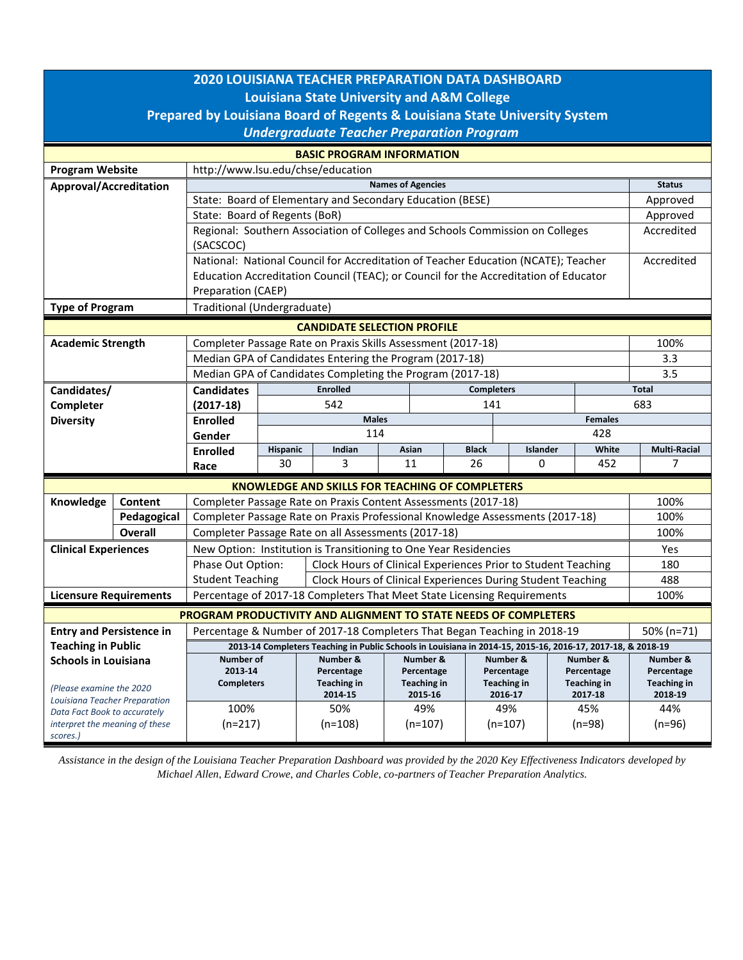| <b>2020 LOUISIANA TEACHER PREPARATION DATA DASHBOARD</b><br><b>Louisiana State University and A&amp;M College</b><br>Prepared by Louisiana Board of Regents & Louisiana State University System<br><b>Undergraduate Teacher Preparation Program</b> |                |                                                                                                             |                                |                                                                |         |            |                                                                |            |                               |            |                               |  |  |
|-----------------------------------------------------------------------------------------------------------------------------------------------------------------------------------------------------------------------------------------------------|----------------|-------------------------------------------------------------------------------------------------------------|--------------------------------|----------------------------------------------------------------|---------|------------|----------------------------------------------------------------|------------|-------------------------------|------------|-------------------------------|--|--|
| <b>BASIC PROGRAM INFORMATION</b>                                                                                                                                                                                                                    |                |                                                                                                             |                                |                                                                |         |            |                                                                |            |                               |            |                               |  |  |
| <b>Program Website</b>                                                                                                                                                                                                                              |                | http://www.lsu.edu/chse/education                                                                           |                                |                                                                |         |            |                                                                |            |                               |            |                               |  |  |
| Approval/Accreditation                                                                                                                                                                                                                              |                | <b>Names of Agencies</b>                                                                                    |                                |                                                                |         |            |                                                                |            |                               |            | <b>Status</b>                 |  |  |
|                                                                                                                                                                                                                                                     |                | State: Board of Elementary and Secondary Education (BESE)                                                   |                                |                                                                |         |            |                                                                |            |                               |            | Approved                      |  |  |
|                                                                                                                                                                                                                                                     |                | State: Board of Regents (BoR)                                                                               |                                |                                                                |         |            |                                                                |            |                               |            | Approved                      |  |  |
|                                                                                                                                                                                                                                                     |                | Regional: Southern Association of Colleges and Schools Commission on Colleges                               |                                |                                                                |         |            |                                                                |            |                               | Accredited |                               |  |  |
|                                                                                                                                                                                                                                                     |                | (SACSCOC)                                                                                                   |                                |                                                                |         |            |                                                                |            |                               |            |                               |  |  |
|                                                                                                                                                                                                                                                     |                | National: National Council for Accreditation of Teacher Education (NCATE); Teacher                          |                                |                                                                |         |            |                                                                |            |                               | Accredited |                               |  |  |
|                                                                                                                                                                                                                                                     |                | Education Accreditation Council (TEAC); or Council for the Accreditation of Educator                        |                                |                                                                |         |            |                                                                |            |                               |            |                               |  |  |
|                                                                                                                                                                                                                                                     |                | Preparation (CAEP)                                                                                          |                                |                                                                |         |            |                                                                |            |                               |            |                               |  |  |
| <b>Type of Program</b>                                                                                                                                                                                                                              |                | Traditional (Undergraduate)                                                                                 |                                |                                                                |         |            |                                                                |            |                               |            |                               |  |  |
| <b>CANDIDATE SELECTION PROFILE</b>                                                                                                                                                                                                                  |                |                                                                                                             |                                |                                                                |         |            |                                                                |            |                               |            |                               |  |  |
| <b>Academic Strength</b>                                                                                                                                                                                                                            |                | Completer Passage Rate on Praxis Skills Assessment (2017-18)                                                |                                |                                                                |         |            |                                                                |            |                               |            | 100%                          |  |  |
|                                                                                                                                                                                                                                                     |                | Median GPA of Candidates Entering the Program (2017-18)                                                     |                                |                                                                |         |            |                                                                |            |                               |            | 3.3                           |  |  |
|                                                                                                                                                                                                                                                     |                | Median GPA of Candidates Completing the Program (2017-18)                                                   |                                |                                                                |         |            |                                                                |            |                               |            | 3.5                           |  |  |
| Candidates/                                                                                                                                                                                                                                         |                | <b>Candidates</b>                                                                                           |                                | <b>Enrolled</b><br><b>Completers</b>                           |         |            |                                                                |            | <b>Total</b>                  |            |                               |  |  |
| Completer                                                                                                                                                                                                                                           |                | $(2017-18)$                                                                                                 |                                | 542                                                            |         | 141        |                                                                |            |                               | 683        |                               |  |  |
| <b>Diversity</b>                                                                                                                                                                                                                                    |                | <b>Enrolled</b>                                                                                             | <b>Males</b><br><b>Females</b> |                                                                |         |            |                                                                |            |                               |            |                               |  |  |
|                                                                                                                                                                                                                                                     |                | Gender                                                                                                      | 114<br>428                     |                                                                |         |            |                                                                |            |                               |            |                               |  |  |
|                                                                                                                                                                                                                                                     |                | <b>Enrolled</b>                                                                                             | Hispanic                       | Indian                                                         |         | Asian      | <b>Black</b>                                                   | Islander   |                               | White      | <b>Multi-Racial</b>           |  |  |
|                                                                                                                                                                                                                                                     |                | Race                                                                                                        | 30                             | 3                                                              |         | 11         | 26                                                             | 0          |                               | 452        | 7                             |  |  |
|                                                                                                                                                                                                                                                     |                | <b>KNOWLEDGE AND SKILLS FOR TEACHING OF COMPLETERS</b>                                                      |                                |                                                                |         |            |                                                                |            |                               |            |                               |  |  |
| Knowledge                                                                                                                                                                                                                                           | Content        |                                                                                                             |                                | Completer Passage Rate on Praxis Content Assessments (2017-18) |         |            |                                                                |            |                               |            | 100%                          |  |  |
|                                                                                                                                                                                                                                                     | Pedagogical    | Completer Passage Rate on Praxis Professional Knowledge Assessments (2017-18)                               |                                |                                                                |         |            |                                                                |            |                               |            |                               |  |  |
|                                                                                                                                                                                                                                                     | <b>Overall</b> | Completer Passage Rate on all Assessments (2017-18)                                                         | 100%                           |                                                                |         |            |                                                                |            |                               |            |                               |  |  |
| <b>Clinical Experiences</b>                                                                                                                                                                                                                         |                | New Option: Institution is Transitioning to One Year Residencies                                            | Yes                            |                                                                |         |            |                                                                |            |                               |            |                               |  |  |
|                                                                                                                                                                                                                                                     |                | Clock Hours of Clinical Experiences Prior to Student Teaching<br>Phase Out Option:                          |                                |                                                                |         |            |                                                                |            |                               |            | 180                           |  |  |
|                                                                                                                                                                                                                                                     |                | <b>Student Teaching</b><br>Clock Hours of Clinical Experiences During Student Teaching                      |                                |                                                                |         |            |                                                                |            |                               |            | 488                           |  |  |
| <b>Licensure Requirements</b>                                                                                                                                                                                                                       |                | Percentage of 2017-18 Completers That Meet State Licensing Requirements                                     |                                |                                                                |         |            |                                                                |            |                               |            | 100%                          |  |  |
| PROGRAM PRODUCTIVITY AND ALIGNMENT TO STATE NEEDS OF COMPLETERS                                                                                                                                                                                     |                |                                                                                                             |                                |                                                                |         |            |                                                                |            |                               |            |                               |  |  |
| <b>Entry and Persistence in</b>                                                                                                                                                                                                                     |                | Percentage & Number of 2017-18 Completers That Began Teaching in 2018-19                                    |                                |                                                                |         |            |                                                                |            |                               |            | 50% (n=71)                    |  |  |
| <b>Teaching in Public</b>                                                                                                                                                                                                                           |                | 2013-14 Completers Teaching in Public Schools in Louisiana in 2014-15, 2015-16, 2016-17, 2017-18, & 2018-19 |                                |                                                                |         |            |                                                                |            |                               |            |                               |  |  |
| <b>Schools in Louisiana</b>                                                                                                                                                                                                                         |                | Number of                                                                                                   |                                | Number &                                                       |         | Number &   | Number &                                                       |            | Number &                      |            | Number &                      |  |  |
|                                                                                                                                                                                                                                                     |                | 2013-14                                                                                                     |                                | Percentage                                                     |         | Percentage |                                                                | Percentage |                               | Percentage | Percentage                    |  |  |
| (Please examine the 2020)                                                                                                                                                                                                                           |                | <b>Completers</b>                                                                                           |                                | Teaching in                                                    | 2014-15 |            | <b>Teaching in</b><br><b>Teaching in</b><br>2015-16<br>2016-17 |            | <b>Teaching in</b><br>2017-18 |            | <b>Teaching in</b><br>2018-19 |  |  |
| Louisiana Teacher Preparation<br>Data Fact Book to accurately                                                                                                                                                                                       |                | 100%                                                                                                        |                                | 50%                                                            |         | 49%        | 49%                                                            |            | 45%                           |            | 44%                           |  |  |
| interpret the meaning of these                                                                                                                                                                                                                      |                | $(n=217)$                                                                                                   |                                | $(n=108)$                                                      |         | $(n=107)$  |                                                                | $(n=107)$  |                               | $(n=98)$   | $(n=96)$                      |  |  |
| scores.)                                                                                                                                                                                                                                            |                |                                                                                                             |                                |                                                                |         |            |                                                                |            |                               |            |                               |  |  |

*Assistance in the design of the Louisiana Teacher Preparation Dashboard was provided by the 2020 Key Effectiveness Indicators developed by Michael Allen, Edward Crowe, and Charles Coble, co-partners of Teacher Preparation Analytics.*